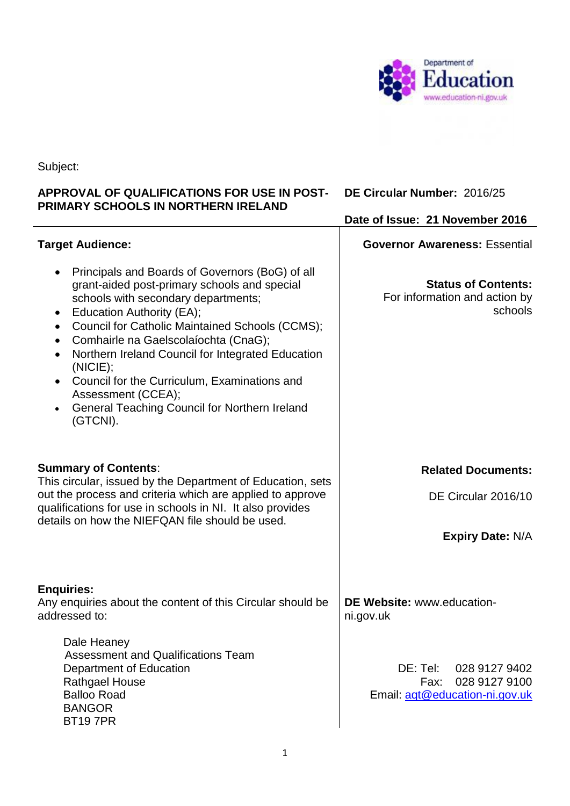

Subject:

## **APPROVAL OF QUALIFICATIONS FOR USE IN POST-DE Circular Number:** 2016/25 **PRIMARY SCHOOLS IN NORTHERN IRELAND**

|                                                                                                                                                                                                                                                                                                                                                                                                                                                                                                                                      | Date of Issue: 21 November 2016                                                      |
|--------------------------------------------------------------------------------------------------------------------------------------------------------------------------------------------------------------------------------------------------------------------------------------------------------------------------------------------------------------------------------------------------------------------------------------------------------------------------------------------------------------------------------------|--------------------------------------------------------------------------------------|
| <b>Target Audience:</b>                                                                                                                                                                                                                                                                                                                                                                                                                                                                                                              | <b>Governor Awareness: Essential</b>                                                 |
| Principals and Boards of Governors (BoG) of all<br>grant-aided post-primary schools and special<br>schools with secondary departments;<br>Education Authority (EA);<br>$\bullet$<br><b>Council for Catholic Maintained Schools (CCMS);</b><br>$\bullet$<br>Comhairle na Gaelscolaíochta (CnaG);<br>$\bullet$<br>Northern Ireland Council for Integrated Education<br>(NICIE);<br>Council for the Curriculum, Examinations and<br>Assessment (CCEA);<br><b>General Teaching Council for Northern Ireland</b><br>$\bullet$<br>(GTCNI). | <b>Status of Contents:</b><br>For information and action by<br>schools               |
| <b>Summary of Contents:</b><br>This circular, issued by the Department of Education, sets<br>out the process and criteria which are applied to approve                                                                                                                                                                                                                                                                                                                                                                               | <b>Related Documents:</b><br>DE Circular 2016/10                                     |
| qualifications for use in schools in NI. It also provides<br>details on how the NIEFQAN file should be used.                                                                                                                                                                                                                                                                                                                                                                                                                         |                                                                                      |
|                                                                                                                                                                                                                                                                                                                                                                                                                                                                                                                                      | <b>Expiry Date: N/A</b>                                                              |
| <b>Enquiries:</b><br>Any enquiries about the content of this Circular should be<br>addressed to:                                                                                                                                                                                                                                                                                                                                                                                                                                     | DE Website: www.education-<br>ni.gov.uk                                              |
| Dale Heaney<br><b>Assessment and Qualifications Team</b><br>Department of Education<br><b>Rathgael House</b><br><b>Balloo Road</b><br><b>BANGOR</b><br><b>BT197PR</b>                                                                                                                                                                                                                                                                                                                                                                | DE: Tel:<br>028 9127 9402<br>028 9127 9100<br>Fax:<br>Email: agt@education-ni.gov.uk |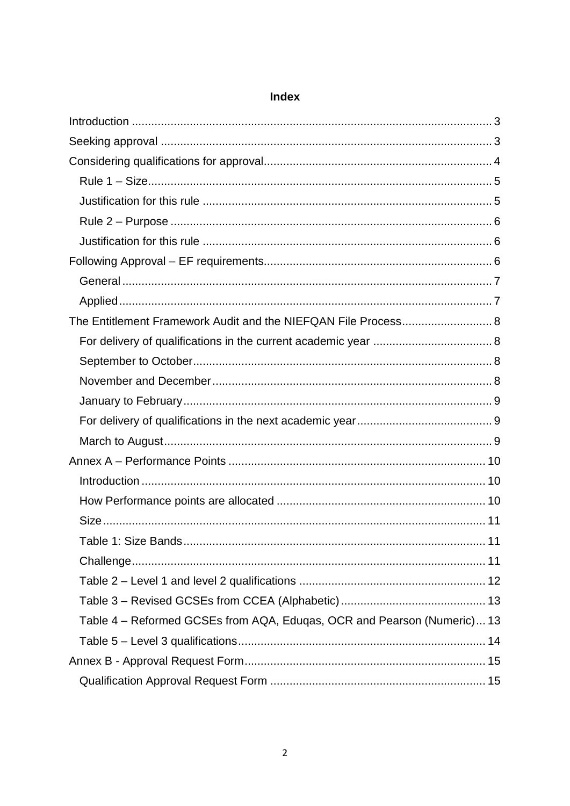| The Entitlement Framework Audit and the NIEFQAN File Process 8          |  |
|-------------------------------------------------------------------------|--|
|                                                                         |  |
|                                                                         |  |
|                                                                         |  |
|                                                                         |  |
|                                                                         |  |
|                                                                         |  |
|                                                                         |  |
|                                                                         |  |
|                                                                         |  |
|                                                                         |  |
|                                                                         |  |
|                                                                         |  |
|                                                                         |  |
|                                                                         |  |
| Table 4 - Reformed GCSEs from AQA, Eduqas, OCR and Pearson (Numeric) 13 |  |
|                                                                         |  |
|                                                                         |  |
|                                                                         |  |

# Index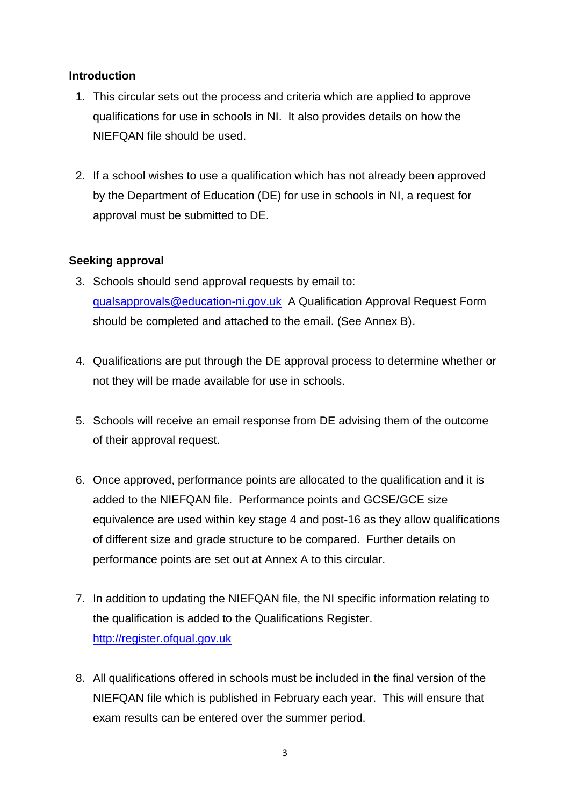### <span id="page-2-0"></span>**Introduction**

- 1. This circular sets out the process and criteria which are applied to approve qualifications for use in schools in NI. It also provides details on how the NIEFQAN file should be used.
- 2. If a school wishes to use a qualification which has not already been approved by the Department of Education (DE) for use in schools in NI, a request for approval must be submitted to DE.

### <span id="page-2-1"></span>**Seeking approval**

- 3. Schools should send approval requests by email to: [qualsapprovals@education-ni.gov.uk](mailto:qualsapprovals@education-ni.gov.uk) A Qualification Approval Request Form should be completed and attached to the email. (See Annex B).
- 4. Qualifications are put through the DE approval process to determine whether or not they will be made available for use in schools.
- 5. Schools will receive an email response from DE advising them of the outcome of their approval request.
- 6. Once approved, performance points are allocated to the qualification and it is added to the NIEFQAN file. Performance points and GCSE/GCE size equivalence are used within key stage 4 and post-16 as they allow qualifications of different size and grade structure to be compared. Further details on performance points are set out at Annex A to this circular.
- 7. In addition to updating the NIEFQAN file, the NI specific information relating to the qualification is added to the Qualifications Register. [http://register.ofqual.gov.uk](http://register.ofqual.gov.uk/)
- 8. All qualifications offered in schools must be included in the final version of the NIEFQAN file which is published in February each year. This will ensure that exam results can be entered over the summer period.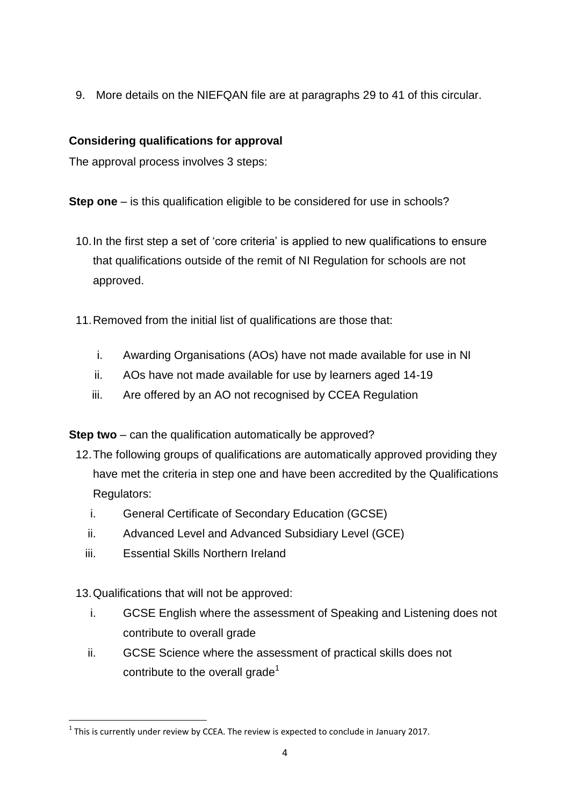9. More details on the NIEFQAN file are at paragraphs 29 to 41 of this circular.

# <span id="page-3-0"></span>**Considering qualifications for approval**

The approval process involves 3 steps:

**Step one** – is this qualification eligible to be considered for use in schools?

- 10.In the first step a set of 'core criteria' is applied to new qualifications to ensure that qualifications outside of the remit of NI Regulation for schools are not approved.
- 11.Removed from the initial list of qualifications are those that:
	- i. Awarding Organisations (AOs) have not made available for use in NI
	- ii. AOs have not made available for use by learners aged 14-19
	- iii. Are offered by an AO not recognised by CCEA Regulation

**Step two** – can the qualification automatically be approved?

- 12.The following groups of qualifications are automatically approved providing they have met the criteria in step one and have been accredited by the Qualifications Regulators:
	- i. General Certificate of Secondary Education (GCSE)
	- ii. Advanced Level and Advanced Subsidiary Level (GCE)
	- iii. Essential Skills Northern Ireland

13.Qualifications that will not be approved:

- i. GCSE English where the assessment of Speaking and Listening does not contribute to overall grade
- ii. GCSE Science where the assessment of practical skills does not contribute to the overall grade<sup>1</sup>

**<sup>.</sup>**  $<sup>1</sup>$  This is currently under review by CCEA. The review is expected to conclude in January 2017.</sup>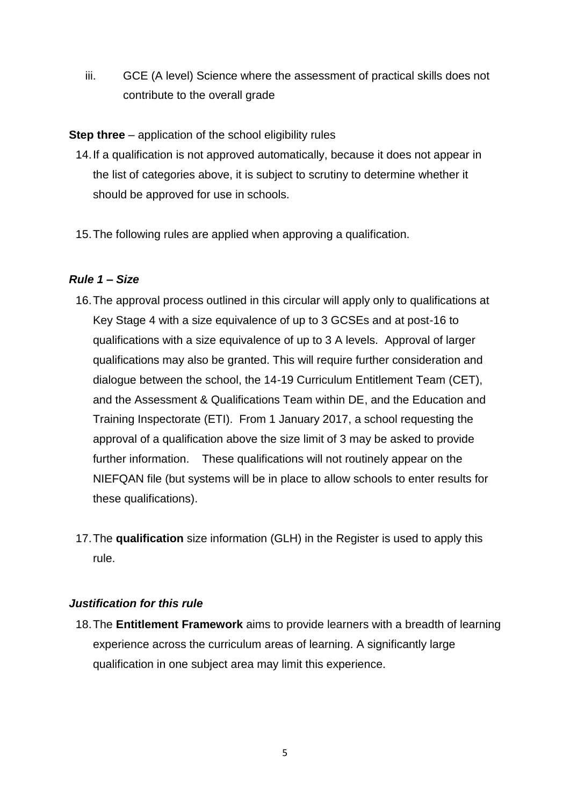iii. GCE (A level) Science where the assessment of practical skills does not contribute to the overall grade

**Step three** – application of the school eligibility rules

- 14.If a qualification is not approved automatically, because it does not appear in the list of categories above, it is subject to scrutiny to determine whether it should be approved for use in schools.
- 15.The following rules are applied when approving a qualification.

# <span id="page-4-0"></span>*Rule 1 – Size*

- 16.The approval process outlined in this circular will apply only to qualifications at Key Stage 4 with a size equivalence of up to 3 GCSEs and at post-16 to qualifications with a size equivalence of up to 3 A levels. Approval of larger qualifications may also be granted. This will require further consideration and dialogue between the school, the 14-19 Curriculum Entitlement Team (CET), and the Assessment & Qualifications Team within DE, and the Education and Training Inspectorate (ETI). From 1 January 2017, a school requesting the approval of a qualification above the size limit of 3 may be asked to provide further information. These qualifications will not routinely appear on the NIEFQAN file (but systems will be in place to allow schools to enter results for these qualifications).
- 17.The **qualification** size information (GLH) in the Register is used to apply this rule.

## <span id="page-4-1"></span>*Justification for this rule*

18.The **Entitlement Framework** aims to provide learners with a breadth of learning experience across the curriculum areas of learning. A significantly large qualification in one subject area may limit this experience.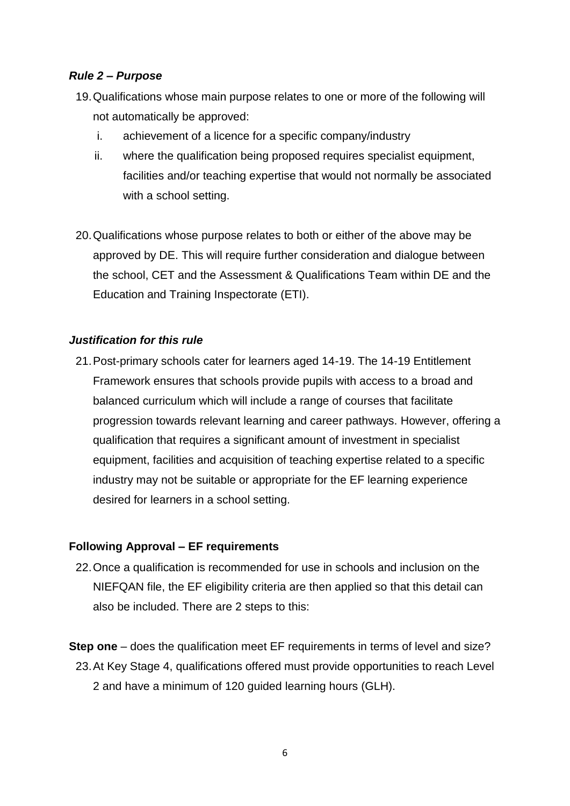#### <span id="page-5-0"></span>*Rule 2 – Purpose*

- 19.Qualifications whose main purpose relates to one or more of the following will not automatically be approved:
	- i. achievement of a licence for a specific company/industry
	- ii. where the qualification being proposed requires specialist equipment, facilities and/or teaching expertise that would not normally be associated with a school setting.
- 20.Qualifications whose purpose relates to both or either of the above may be approved by DE. This will require further consideration and dialogue between the school, CET and the Assessment & Qualifications Team within DE and the Education and Training Inspectorate (ETI).

#### <span id="page-5-1"></span>*Justification for this rule*

21.Post-primary schools cater for learners aged 14-19. The 14-19 Entitlement Framework ensures that schools provide pupils with access to a broad and balanced curriculum which will include a range of courses that facilitate progression towards relevant learning and career pathways. However, offering a qualification that requires a significant amount of investment in specialist equipment, facilities and acquisition of teaching expertise related to a specific industry may not be suitable or appropriate for the EF learning experience desired for learners in a school setting.

#### <span id="page-5-2"></span>**Following Approval – EF requirements**

22.Once a qualification is recommended for use in schools and inclusion on the NIEFQAN file, the EF eligibility criteria are then applied so that this detail can also be included. There are 2 steps to this:

**Step one** – does the qualification meet EF requirements in terms of level and size? 23.At Key Stage 4, qualifications offered must provide opportunities to reach Level 2 and have a minimum of 120 guided learning hours (GLH).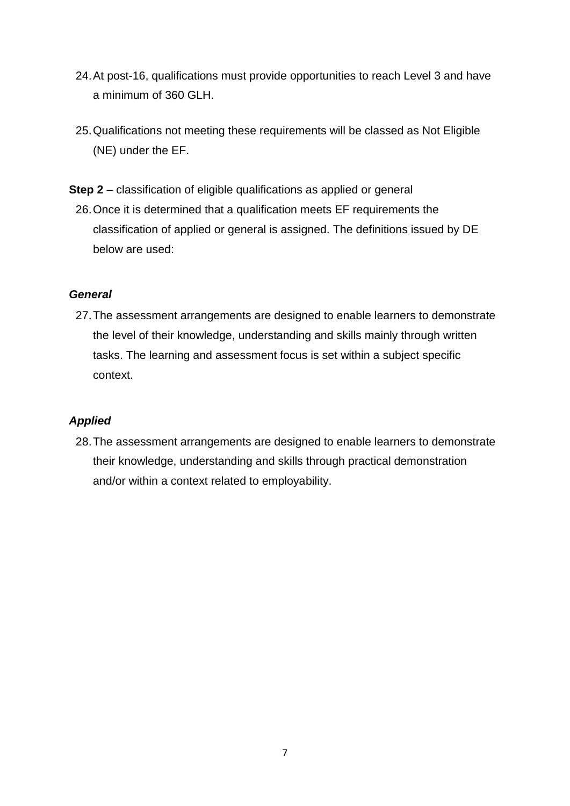- 24.At post-16, qualifications must provide opportunities to reach Level 3 and have a minimum of 360 GLH.
- 25.Qualifications not meeting these requirements will be classed as Not Eligible (NE) under the EF.
- **Step 2** classification of eligible qualifications as applied or general
	- 26.Once it is determined that a qualification meets EF requirements the classification of applied or general is assigned. The definitions issued by DE below are used:

### <span id="page-6-0"></span>*General*

27.The assessment arrangements are designed to enable learners to demonstrate the level of their knowledge, understanding and skills mainly through written tasks. The learning and assessment focus is set within a subject specific context.

## <span id="page-6-1"></span>*Applied*

28.The assessment arrangements are designed to enable learners to demonstrate their knowledge, understanding and skills through practical demonstration and/or within a context related to employability.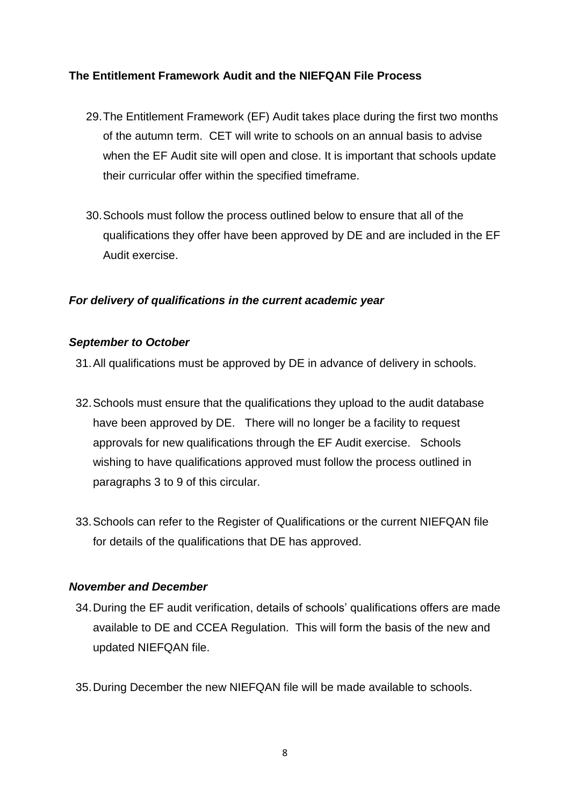## <span id="page-7-0"></span>**The Entitlement Framework Audit and the NIEFQAN File Process**

- 29.The Entitlement Framework (EF) Audit takes place during the first two months of the autumn term. CET will write to schools on an annual basis to advise when the EF Audit site will open and close. It is important that schools update their curricular offer within the specified timeframe.
- 30.Schools must follow the process outlined below to ensure that all of the qualifications they offer have been approved by DE and are included in the EF Audit exercise.

## <span id="page-7-1"></span>*For delivery of qualifications in the current academic year*

#### <span id="page-7-2"></span>*September to October*

31.All qualifications must be approved by DE in advance of delivery in schools.

- 32.Schools must ensure that the qualifications they upload to the audit database have been approved by DE. There will no longer be a facility to request approvals for new qualifications through the EF Audit exercise. Schools wishing to have qualifications approved must follow the process outlined in paragraphs 3 to 9 of this circular.
- 33.Schools can refer to the Register of Qualifications or the current NIEFQAN file for details of the qualifications that DE has approved.

#### <span id="page-7-3"></span>*November and December*

- 34.During the EF audit verification, details of schools' qualifications offers are made available to DE and CCEA Regulation. This will form the basis of the new and updated NIEFQAN file.
- 35.During December the new NIEFQAN file will be made available to schools.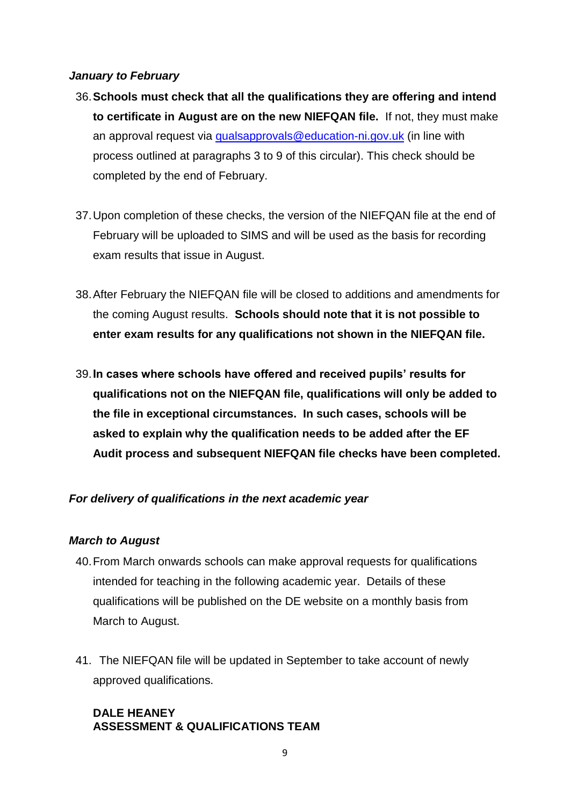#### <span id="page-8-0"></span>*January to February*

- 36.**Schools must check that all the qualifications they are offering and intend to certificate in August are on the new NIEFQAN file.** If not, they must make an approval request via [qualsapprovals@education-ni.gov.uk](mailto:qualsapprovals@education-ni.gov.uk) (in line with process outlined at paragraphs 3 to 9 of this circular). This check should be completed by the end of February.
- 37.Upon completion of these checks, the version of the NIEFQAN file at the end of February will be uploaded to SIMS and will be used as the basis for recording exam results that issue in August.
- 38.After February the NIEFQAN file will be closed to additions and amendments for the coming August results. **Schools should note that it is not possible to enter exam results for any qualifications not shown in the NIEFQAN file.**
- 39.**In cases where schools have offered and received pupils' results for qualifications not on the NIEFQAN file, qualifications will only be added to the file in exceptional circumstances. In such cases, schools will be asked to explain why the qualification needs to be added after the EF Audit process and subsequent NIEFQAN file checks have been completed.**

## <span id="page-8-1"></span>*For delivery of qualifications in the next academic year*

## <span id="page-8-2"></span>*March to August*

- 40.From March onwards schools can make approval requests for qualifications intended for teaching in the following academic year. Details of these qualifications will be published on the DE website on a monthly basis from March to August.
- 41. The NIEFQAN file will be updated in September to take account of newly approved qualifications.

## **DALE HEANEY ASSESSMENT & QUALIFICATIONS TEAM**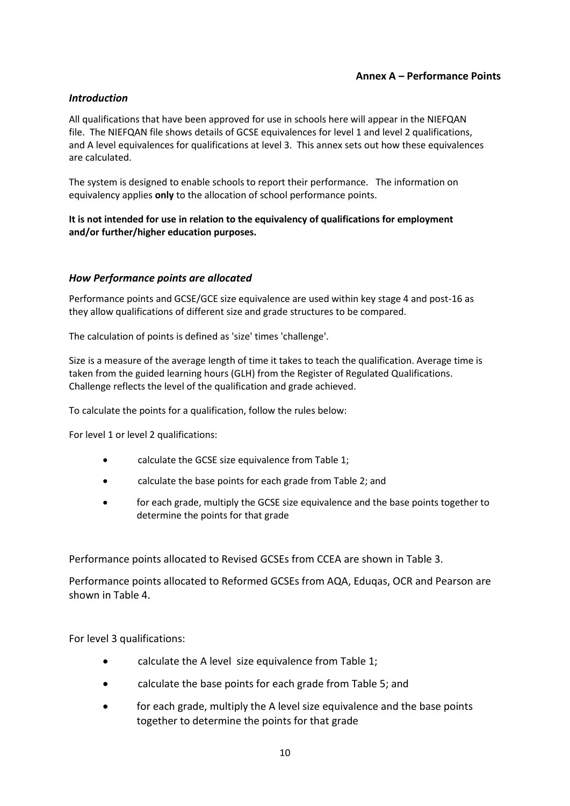#### **Annex A – Performance Points**

#### <span id="page-9-1"></span><span id="page-9-0"></span>*Introduction*

All qualifications that have been approved for use in schools here will appear in the NIEFQAN file. The NIEFQAN file shows details of GCSE equivalences for level 1 and level 2 qualifications, and A level equivalences for qualifications at level 3. This annex sets out how these equivalences are calculated.

The system is designed to enable schools to report their performance. The information on equivalency applies **only** to the allocation of school performance points.

#### **It is not intended for use in relation to the equivalency of qualifications for employment and/or further/higher education purposes.**

#### <span id="page-9-2"></span>*How Performance points are allocated*

Performance points and GCSE/GCE size equivalence are used within key stage 4 and post-16 as they allow qualifications of different size and grade structures to be compared.

The calculation of points is defined as 'size' times 'challenge'.

Size is a measure of the average length of time it takes to teach the qualification. Average time is taken from the guided learning hours (GLH) from the Register of Regulated Qualifications. Challenge reflects the level of the qualification and grade achieved.

To calculate the points for a qualification, follow the rules below:

For level 1 or level 2 qualifications:

- calculate the GCSE size equivalence from Table 1;
- calculate the base points for each grade from Table 2; and
- for each grade, multiply the GCSE size equivalence and the base points together to determine the points for that grade

Performance points allocated to Revised GCSEs from CCEA are shown in Table 3.

Performance points allocated to Reformed GCSEs from AQA, Eduqas, OCR and Pearson are shown in Table 4.

For level 3 qualifications:

- calculate the A level size equivalence from Table 1;
- calculate the base points for each grade from Table 5; and
- for each grade, multiply the A level size equivalence and the base points together to determine the points for that grade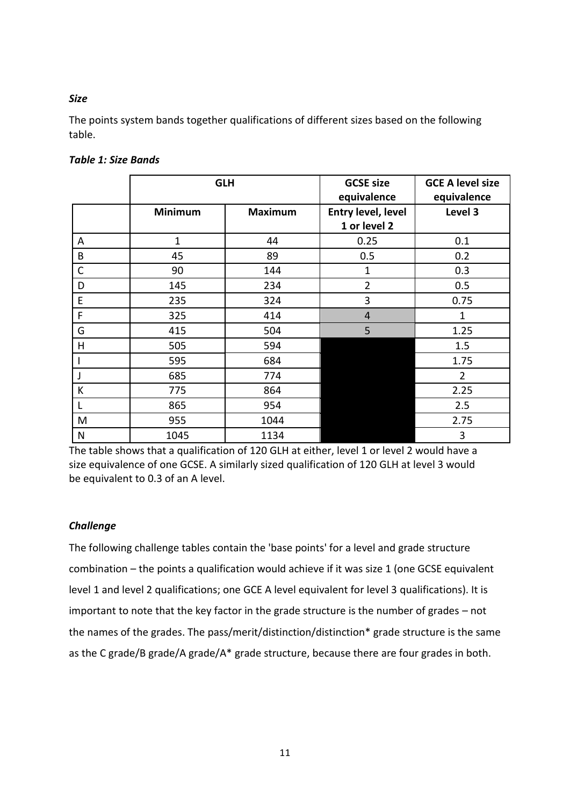#### <span id="page-10-0"></span>*Size*

The points system bands together qualifications of different sizes based on the following table.

|              | <b>GLH</b>     |                | <b>GCSE size</b><br>equivalence    | <b>GCE A level size</b><br>equivalence |
|--------------|----------------|----------------|------------------------------------|----------------------------------------|
|              | <b>Minimum</b> | <b>Maximum</b> | Entry level, level<br>1 or level 2 | Level 3                                |
| A            | $\mathbf{1}$   | 44             | 0.25                               | 0.1                                    |
| B            | 45             | 89             | 0.5                                | 0.2                                    |
| $\mathsf{C}$ | 90             | 144            | $\mathbf{1}$                       | 0.3                                    |
| D            | 145            | 234            | $\overline{2}$                     | 0.5                                    |
| E            | 235            | 324            | 3                                  | 0.75                                   |
| F            | 325            | 414            | $\overline{4}$                     | $\mathbf{1}$                           |
| G            | 415            | 504            | 5                                  | 1.25                                   |
| H            | 505            | 594            |                                    | 1.5                                    |
|              | 595            | 684            |                                    | 1.75                                   |
| J            | 685            | 774            |                                    | $\overline{2}$                         |
| К            | 775            | 864            |                                    | 2.25                                   |
|              | 865            | 954            |                                    | 2.5                                    |
| M            | 955            | 1044           |                                    | 2.75                                   |
| N            | 1045           | 1134           |                                    | 3                                      |

#### <span id="page-10-1"></span>*Table 1: Size Bands*

The table shows that a qualification of 120 GLH at either, level 1 or level 2 would have a size equivalence of one GCSE. A similarly sized qualification of 120 GLH at level 3 would be equivalent to 0.3 of an A level.

#### <span id="page-10-2"></span>*Challenge*

The following challenge tables contain the 'base points' for a level and grade structure combination – the points a qualification would achieve if it was size 1 (one GCSE equivalent level 1 and level 2 qualifications; one GCE A level equivalent for level 3 qualifications). It is important to note that the key factor in the grade structure is the number of grades – not the names of the grades. The pass/merit/distinction/distinction\* grade structure is the same as the C grade/B grade/A grade/A\* grade structure, because there are four grades in both.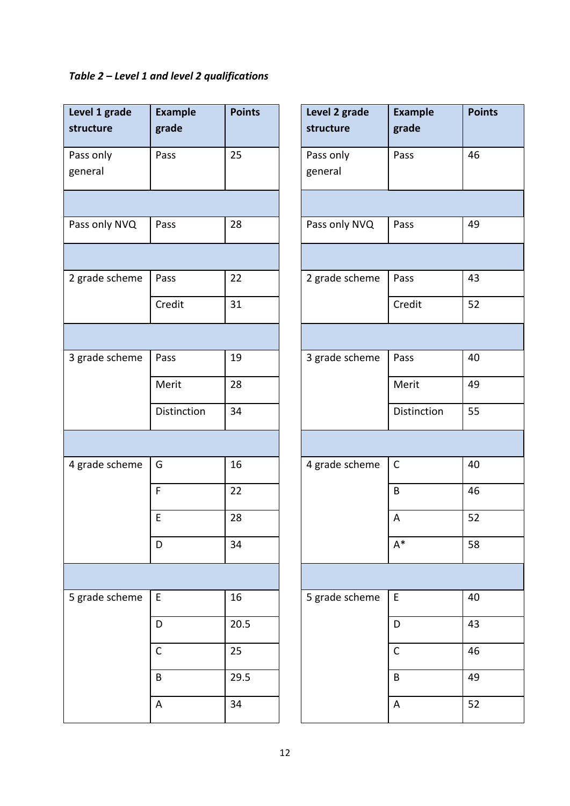# <span id="page-11-0"></span>*Table 2 – Level 1 and level 2 qualifications*

| Level 1 grade<br>structure | <b>Example</b><br>grade | <b>Points</b> | Level 2 grade<br>structure | <b>Example</b><br>grade |
|----------------------------|-------------------------|---------------|----------------------------|-------------------------|
|                            | Pass                    | 25            | Pass only<br>general       | Pass                    |
|                            |                         |               |                            |                         |
| Pass only NVQ              | Pass                    | 28            | Pass only NVQ              | Pass                    |
|                            |                         |               |                            |                         |
| 2 grade scheme             | Pass                    | 22            | 2 grade scheme             | Pass                    |
|                            | Credit                  | 31            |                            | Credit                  |
|                            |                         |               |                            |                         |
| 3 grade scheme             | Pass                    | 19            | 3 grade scheme             | Pass                    |
|                            | Merit                   | 28            |                            | Merit                   |
|                            | Distinction             | 34            |                            | Distinction             |
|                            |                         |               |                            |                         |
| 4 grade scheme             | G                       | 16            | 4 grade scheme             | $\mathsf C$             |
|                            | $\mathsf F$             | 22            |                            | B                       |
|                            | E                       | 28            |                            | A                       |
|                            | D                       | 34            |                            | $A^*$                   |
|                            |                         |               |                            |                         |
| 5 grade scheme             | E                       | 16            | 5 grade scheme             | E                       |
|                            | D                       | 20.5          |                            | D                       |
|                            | $\mathsf{C}$            | 25            |                            | $\mathsf C$             |
|                            | B                       | 29.5          |                            | B                       |
|                            | A                       | 34            |                            | A                       |

| <b>Example</b><br>grade | <b>Points</b> | Level 2 grade<br>structure | <b>Example</b><br>grade | <b>Points</b> |
|-------------------------|---------------|----------------------------|-------------------------|---------------|
| Pass                    | 25            | Pass only<br>general       | Pass                    | 46            |
|                         |               |                            |                         |               |
| Pass                    | 28            | Pass only NVQ              | Pass                    | 49            |
|                         |               |                            |                         |               |
| Pass                    | 22            | 2 grade scheme             | Pass                    | 43            |
| Credit                  | 31            |                            | Credit                  | 52            |
|                         |               |                            |                         |               |
| Pass                    | 19            | 3 grade scheme             | Pass                    | 40            |
| Merit                   | 28            |                            | Merit                   | 49            |
| Distinction             | 34            |                            | Distinction             | 55            |
|                         |               |                            |                         |               |
| G                       | 16            | 4 grade scheme             | $\mathsf C$             | 40            |
| $\overline{F}$          | 22            |                            | $\sf B$                 | 46            |
| Ė                       | 28            |                            | A                       | 52            |
| D                       | 34            |                            | $\mathsf{A}^*$          | 58            |
|                         |               |                            |                         |               |
| E                       | 16            | 5 grade scheme             | E                       | 40            |
| D                       | 20.5          |                            | D                       | 43            |
| $\overline{\mathsf{C}}$ | 25            |                            | $\mathsf C$             | 46            |
| B                       | 29.5          |                            | $\sf B$                 | 49            |
| A                       | 34            |                            | A                       | 52            |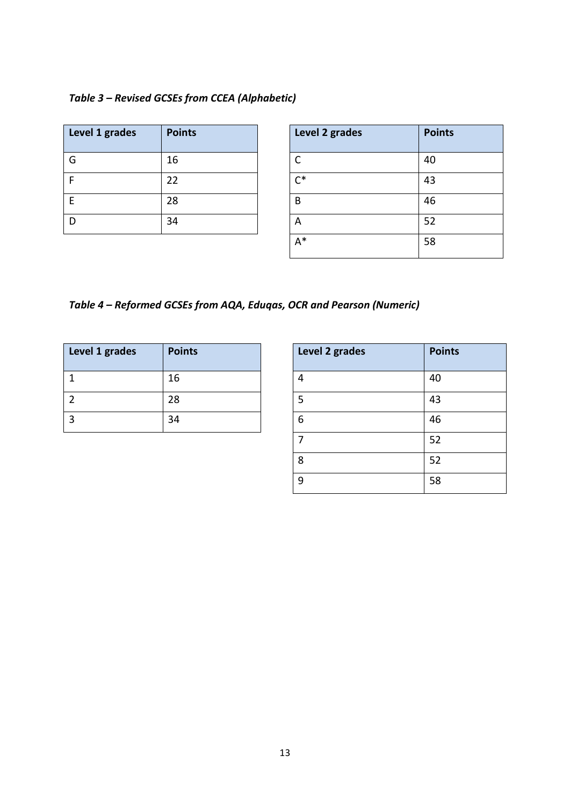## <span id="page-12-0"></span>*Table 3 – Revised GCSEs from CCEA (Alphabetic)*

| Level 1 grades | <b>Points</b> | Level 2 grades      | <b>Points</b> |
|----------------|---------------|---------------------|---------------|
| G              | 16            |                     | 40            |
|                | 22            | $\mathsf{\Gamma}^*$ | 43            |
|                | 28            | B                   | 46            |
|                | 34            | А                   | 52            |

| Level 2 grades | <b>Points</b> |
|----------------|---------------|
| C              | 40            |
| $\mathsf{C}^*$ | 43            |
| В              | 46            |
| А              | 52            |
| A*             | 58            |

# <span id="page-12-1"></span>*Table 4 – Reformed GCSEs from AQA, Eduqas, OCR and Pearson (Numeric)*

| Level 1 grades | <b>Points</b> | Level 2 grades | <b>Points</b> |
|----------------|---------------|----------------|---------------|
|                | 16            |                | 40            |
|                | 28            |                | 43            |
|                | 34            | D              | 46            |

| Level 2 grades | <b>Points</b> |
|----------------|---------------|
| 4              | 40            |
| 5              | 43            |
| 6              | 46            |
| 7              | 52            |
| 8              | 52            |
| 9              | 58            |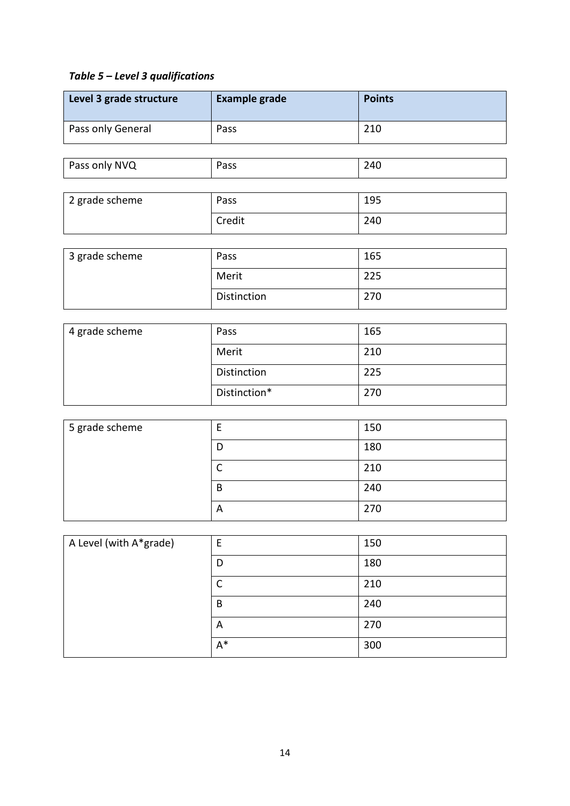# <span id="page-13-0"></span>*Table 5 – Level 3 qualifications*

| Level 3 grade structure | <b>Example grade</b> | <b>Points</b> |
|-------------------------|----------------------|---------------|
| Pass only General       | Pass                 | 210           |
|                         |                      |               |
| Pass only NVQ           | Pass                 | 240           |
|                         |                      |               |
| 2 grade scheme          | Pass                 | 195           |
|                         | Credit               | 240           |
|                         |                      |               |
| 3 grade scheme          | Pass                 | 165           |
|                         | Merit                | 225           |
|                         | Distinction          | 270           |
|                         |                      |               |
| 4 grade scheme          | Pass                 | 165           |
|                         | Merit                | 210           |
|                         | Distinction          | 225           |

| 5 grade scheme |              | 150 |
|----------------|--------------|-----|
|                | D            | 180 |
|                |              | 210 |
|                | B            | 240 |
|                | $\mathsf{A}$ | 270 |

Distinction\* 270

| A Level (with A*grade) | E     | 150 |
|------------------------|-------|-----|
|                        | D     | 180 |
|                        | C     | 210 |
|                        | B     | 240 |
|                        | A     | 270 |
|                        | $A^*$ | 300 |